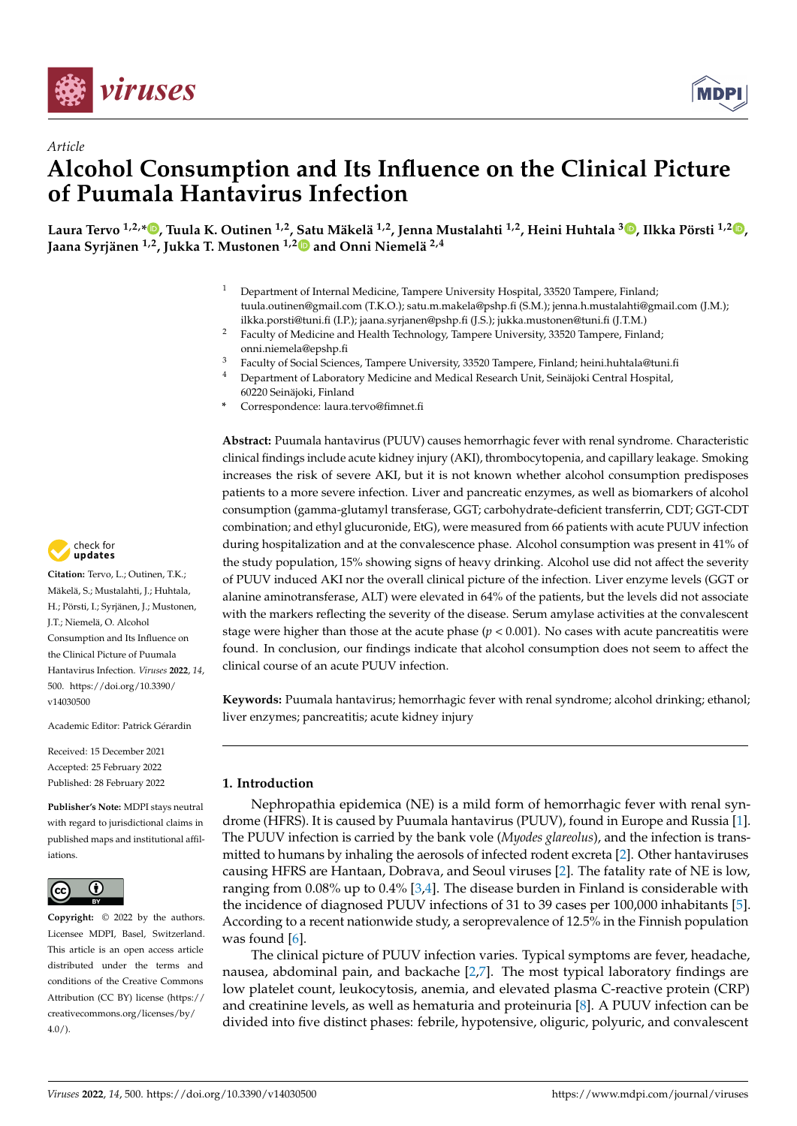



# *Article* **Alcohol Consumption and Its Influence on the Clinical Picture of Puumala Hantavirus Infection**

Laura Tervo <sup>1[,](https://orcid.org/0000-0003-1372-430X)2,</sup>\*®, Tuula K. Outinen <sup>1,2</sup>, [Sat](https://orcid.org/0000-0002-3462-2129)u Mäkelä <sup>1,[2](https://orcid.org/0000-0002-4905-7564)</sup>, Jenna Mustalahti <sup>1,2</sup>, Heini Huhtala <sup>3</sup>®, Ilkka Pörsti <sup>1,2</sup>®, **Jaana Syrjänen 1,2, Jukka T. Mustonen 1,2 and Onni Niemelä 2,4**

- <sup>1</sup> Department of Internal Medicine, Tampere University Hospital, 33520 Tampere, Finland; tuula.outinen@gmail.com (T.K.O.); satu.m.makela@pshp.fi (S.M.); jenna.h.mustalahti@gmail.com (J.M.); ilkka.porsti@tuni.fi (I.P.); jaana.syrjanen@pshp.fi (J.S.); jukka.mustonen@tuni.fi (J.T.M.)
- <sup>2</sup> Faculty of Medicine and Health Technology, Tampere University, 33520 Tampere, Finland; onni.niemela@epshp.fi
- <sup>3</sup> Faculty of Social Sciences, Tampere University, 33520 Tampere, Finland; heini.huhtala@tuni.fi
- <sup>4</sup> Department of Laboratory Medicine and Medical Research Unit, Seinäjoki Central Hospital, 60220 Seinäjoki, Finland
- **\*** Correspondence: laura.tervo@fimnet.fi

**Abstract:** Puumala hantavirus (PUUV) causes hemorrhagic fever with renal syndrome. Characteristic clinical findings include acute kidney injury (AKI), thrombocytopenia, and capillary leakage. Smoking increases the risk of severe AKI, but it is not known whether alcohol consumption predisposes patients to a more severe infection. Liver and pancreatic enzymes, as well as biomarkers of alcohol consumption (gamma-glutamyl transferase, GGT; carbohydrate-deficient transferrin, CDT; GGT-CDT combination; and ethyl glucuronide, EtG), were measured from 66 patients with acute PUUV infection during hospitalization and at the convalescence phase. Alcohol consumption was present in 41% of the study population, 15% showing signs of heavy drinking. Alcohol use did not affect the severity of PUUV induced AKI nor the overall clinical picture of the infection. Liver enzyme levels (GGT or alanine aminotransferase, ALT) were elevated in 64% of the patients, but the levels did not associate with the markers reflecting the severity of the disease. Serum amylase activities at the convalescent stage were higher than those at the acute phase  $(p < 0.001)$ . No cases with acute pancreatitis were found. In conclusion, our findings indicate that alcohol consumption does not seem to affect the clinical course of an acute PUUV infection.

**Keywords:** Puumala hantavirus; hemorrhagic fever with renal syndrome; alcohol drinking; ethanol; liver enzymes; pancreatitis; acute kidney injury

# **1. Introduction**

Nephropathia epidemica (NE) is a mild form of hemorrhagic fever with renal syndrome (HFRS). It is caused by Puumala hantavirus (PUUV), found in Europe and Russia [\[1\]](#page-9-0). The PUUV infection is carried by the bank vole (*Myodes glareolus*), and the infection is transmitted to humans by inhaling the aerosols of infected rodent excreta [\[2\]](#page-9-1). Other hantaviruses causing HFRS are Hantaan, Dobrava, and Seoul viruses [\[2\]](#page-9-1). The fatality rate of NE is low, ranging from 0.08% up to 0.4% [\[3,](#page-9-2)[4\]](#page-9-3). The disease burden in Finland is considerable with the incidence of diagnosed PUUV infections of 31 to 39 cases per 100,000 inhabitants [\[5\]](#page-9-4). According to a recent nationwide study, a seroprevalence of 12.5% in the Finnish population was found [\[6\]](#page-9-5).

The clinical picture of PUUV infection varies. Typical symptoms are fever, headache, nausea, abdominal pain, and backache [\[2,](#page-9-1)[7\]](#page-9-6). The most typical laboratory findings are low platelet count, leukocytosis, anemia, and elevated plasma C-reactive protein (CRP) and creatinine levels, as well as hematuria and proteinuria [\[8\]](#page-9-7). A PUUV infection can be divided into five distinct phases: febrile, hypotensive, oliguric, polyuric, and convalescent



**Citation:** Tervo, L.; Outinen, T.K.; Mäkelä, S.; Mustalahti, J.; Huhtala, H.; Pörsti, I.; Syrjänen, J.; Mustonen, J.T.; Niemelä, O. Alcohol Consumption and Its Influence on the Clinical Picture of Puumala Hantavirus Infection. *Viruses* **2022**, *14*, 500. [https://doi.org/10.3390/](https://doi.org/10.3390/v14030500) [v14030500](https://doi.org/10.3390/v14030500)

Academic Editor: Patrick Gérardin

Received: 15 December 2021 Accepted: 25 February 2022 Published: 28 February 2022

**Publisher's Note:** MDPI stays neutral with regard to jurisdictional claims in published maps and institutional affiliations.



**Copyright:** © 2022 by the authors. Licensee MDPI, Basel, Switzerland. This article is an open access article distributed under the terms and conditions of the Creative Commons Attribution (CC BY) license [\(https://](https://creativecommons.org/licenses/by/4.0/) [creativecommons.org/licenses/by/](https://creativecommons.org/licenses/by/4.0/)  $4.0/$ ).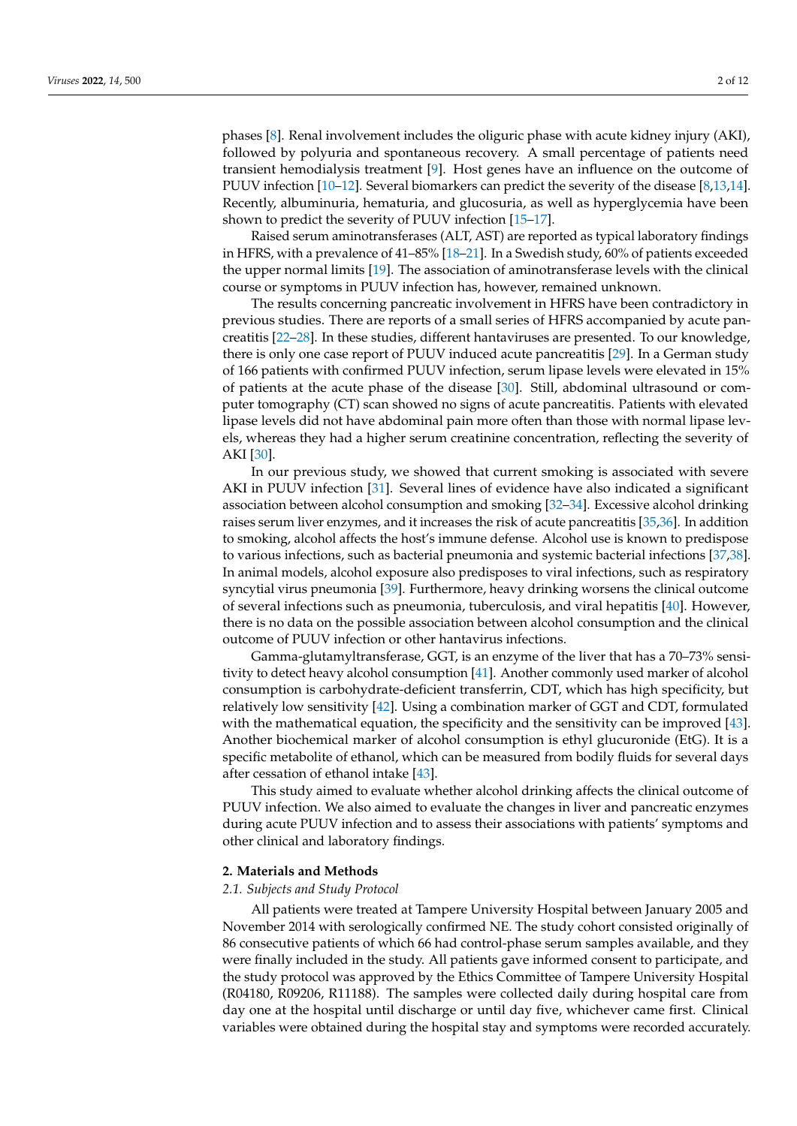phases [\[8\]](#page-9-7). Renal involvement includes the oliguric phase with acute kidney injury (AKI), followed by polyuria and spontaneous recovery. A small percentage of patients need transient hemodialysis treatment [\[9\]](#page-9-8). Host genes have an influence on the outcome of PUUV infection [\[10](#page-9-9)[–12\]](#page-9-10). Several biomarkers can predict the severity of the disease [\[8,](#page-9-7)[13](#page-9-11)[,14\]](#page-9-12). Recently, albuminuria, hematuria, and glucosuria, as well as hyperglycemia have been shown to predict the severity of PUUV infection [\[15–](#page-9-13)[17\]](#page-9-14).

Raised serum aminotransferases (ALT, AST) are reported as typical laboratory findings in HFRS, with a prevalence of 41–85% [\[18](#page-9-15)[–21\]](#page-9-16). In a Swedish study, 60% of patients exceeded the upper normal limits [\[19\]](#page-9-17). The association of aminotransferase levels with the clinical course or symptoms in PUUV infection has, however, remained unknown.

The results concerning pancreatic involvement in HFRS have been contradictory in previous studies. There are reports of a small series of HFRS accompanied by acute pancreatitis [\[22–](#page-9-18)[28\]](#page-10-0). In these studies, different hantaviruses are presented. To our knowledge, there is only one case report of PUUV induced acute pancreatitis [\[29\]](#page-10-1). In a German study of 166 patients with confirmed PUUV infection, serum lipase levels were elevated in 15% of patients at the acute phase of the disease [\[30\]](#page-10-2). Still, abdominal ultrasound or computer tomography (CT) scan showed no signs of acute pancreatitis. Patients with elevated lipase levels did not have abdominal pain more often than those with normal lipase levels, whereas they had a higher serum creatinine concentration, reflecting the severity of AKI [\[30\]](#page-10-2).

In our previous study, we showed that current smoking is associated with severe AKI in PUUV infection [\[31\]](#page-10-3). Several lines of evidence have also indicated a significant association between alcohol consumption and smoking [\[32](#page-10-4)[–34\]](#page-10-5). Excessive alcohol drinking raises serum liver enzymes, and it increases the risk of acute pancreatitis [\[35](#page-10-6)[,36\]](#page-10-7). In addition to smoking, alcohol affects the host's immune defense. Alcohol use is known to predispose to various infections, such as bacterial pneumonia and systemic bacterial infections [\[37](#page-10-8)[,38\]](#page-10-9). In animal models, alcohol exposure also predisposes to viral infections, such as respiratory syncytial virus pneumonia [\[39\]](#page-10-10). Furthermore, heavy drinking worsens the clinical outcome of several infections such as pneumonia, tuberculosis, and viral hepatitis [\[40\]](#page-10-11). However, there is no data on the possible association between alcohol consumption and the clinical outcome of PUUV infection or other hantavirus infections.

Gamma-glutamyltransferase, GGT, is an enzyme of the liver that has a 70–73% sensitivity to detect heavy alcohol consumption [\[41\]](#page-10-12). Another commonly used marker of alcohol consumption is carbohydrate-deficient transferrin, CDT, which has high specificity, but relatively low sensitivity [\[42\]](#page-10-13). Using a combination marker of GGT and CDT, formulated with the mathematical equation, the specificity and the sensitivity can be improved [\[43\]](#page-10-14). Another biochemical marker of alcohol consumption is ethyl glucuronide (EtG). It is a specific metabolite of ethanol, which can be measured from bodily fluids for several days after cessation of ethanol intake [\[43\]](#page-10-14).

This study aimed to evaluate whether alcohol drinking affects the clinical outcome of PUUV infection. We also aimed to evaluate the changes in liver and pancreatic enzymes during acute PUUV infection and to assess their associations with patients' symptoms and other clinical and laboratory findings.

### **2. Materials and Methods**

## *2.1. Subjects and Study Protocol*

All patients were treated at Tampere University Hospital between January 2005 and November 2014 with serologically confirmed NE. The study cohort consisted originally of 86 consecutive patients of which 66 had control-phase serum samples available, and they were finally included in the study. All patients gave informed consent to participate, and the study protocol was approved by the Ethics Committee of Tampere University Hospital (R04180, R09206, R11188). The samples were collected daily during hospital care from day one at the hospital until discharge or until day five, whichever came first. Clinical variables were obtained during the hospital stay and symptoms were recorded accurately.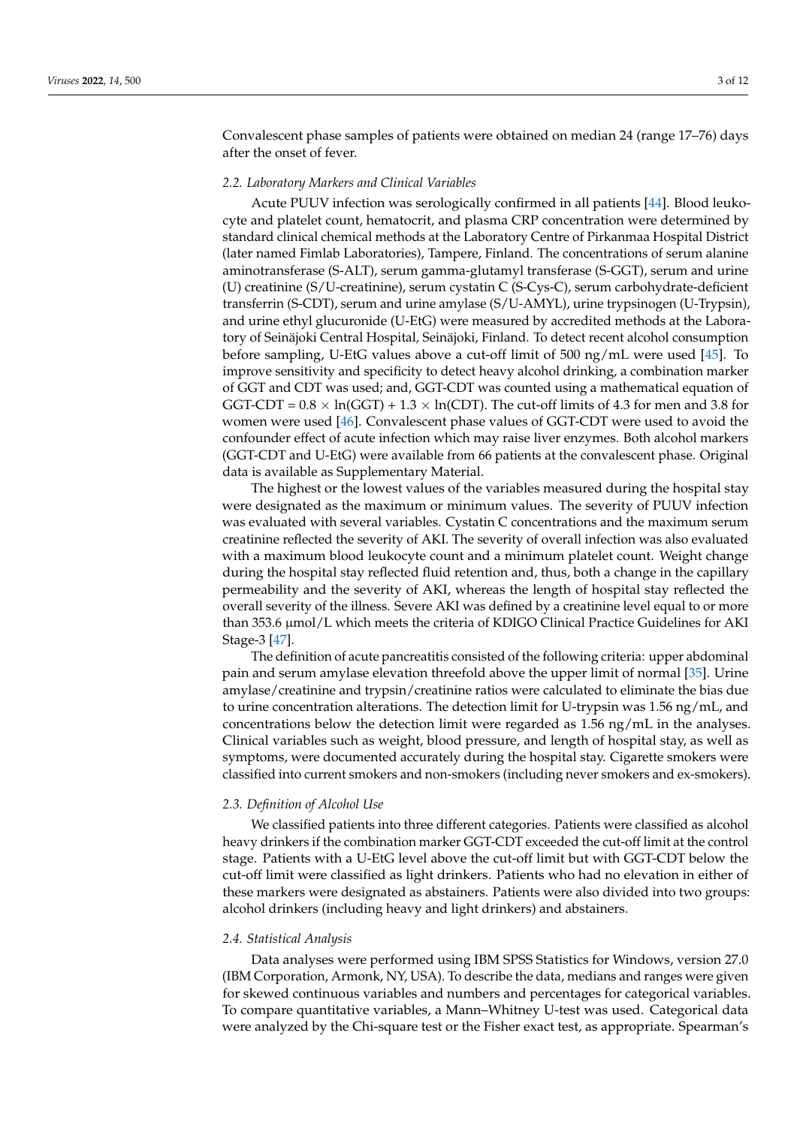Convalescent phase samples of patients were obtained on median 24 (range 17–76) days after the onset of fever.

## *2.2. Laboratory Markers and Clinical Variables*

Acute PUUV infection was serologically confirmed in all patients [\[44\]](#page-10-15). Blood leukocyte and platelet count, hematocrit, and plasma CRP concentration were determined by standard clinical chemical methods at the Laboratory Centre of Pirkanmaa Hospital District (later named Fimlab Laboratories), Tampere, Finland. The concentrations of serum alanine aminotransferase (S-ALT), serum gamma-glutamyl transferase (S-GGT), serum and urine (U) creatinine (S/U-creatinine), serum cystatin C (S-Cys-C), serum carbohydrate-deficient transferrin (S-CDT), serum and urine amylase (S/U-AMYL), urine trypsinogen (U-Trypsin), and urine ethyl glucuronide (U-EtG) were measured by accredited methods at the Laboratory of Seinäjoki Central Hospital, Seinäjoki, Finland. To detect recent alcohol consumption before sampling, U-EtG values above a cut-off limit of 500 ng/mL were used [\[45\]](#page-10-16). To improve sensitivity and specificity to detect heavy alcohol drinking, a combination marker of GGT and CDT was used; and, GGT-CDT was counted using a mathematical equation of GGT-CDT =  $0.8 \times \ln(GGT) + 1.3 \times \ln(CDT)$ . The cut-off limits of 4.3 for men and 3.8 for women were used [\[46\]](#page-10-17). Convalescent phase values of GGT-CDT were used to avoid the confounder effect of acute infection which may raise liver enzymes. Both alcohol markers (GGT-CDT and U-EtG) were available from 66 patients at the convalescent phase. Original data is available as Supplementary Material.

The highest or the lowest values of the variables measured during the hospital stay were designated as the maximum or minimum values. The severity of PUUV infection was evaluated with several variables. Cystatin C concentrations and the maximum serum creatinine reflected the severity of AKI. The severity of overall infection was also evaluated with a maximum blood leukocyte count and a minimum platelet count. Weight change during the hospital stay reflected fluid retention and, thus, both a change in the capillary permeability and the severity of AKI, whereas the length of hospital stay reflected the overall severity of the illness. Severe AKI was defined by a creatinine level equal to or more than 353.6 µmol/L which meets the criteria of KDIGO Clinical Practice Guidelines for AKI Stage-3 [\[47\]](#page-10-18).

The definition of acute pancreatitis consisted of the following criteria: upper abdominal pain and serum amylase elevation threefold above the upper limit of normal [\[35\]](#page-10-6). Urine amylase/creatinine and trypsin/creatinine ratios were calculated to eliminate the bias due to urine concentration alterations. The detection limit for U-trypsin was 1.56 ng/mL, and concentrations below the detection limit were regarded as 1.56 ng/mL in the analyses. Clinical variables such as weight, blood pressure, and length of hospital stay, as well as symptoms, were documented accurately during the hospital stay. Cigarette smokers were classified into current smokers and non-smokers (including never smokers and ex-smokers).

# *2.3. Definition of Alcohol Use*

We classified patients into three different categories. Patients were classified as alcohol heavy drinkers if the combination marker GGT-CDT exceeded the cut-off limit at the control stage. Patients with a U-EtG level above the cut-off limit but with GGT-CDT below the cut-off limit were classified as light drinkers. Patients who had no elevation in either of these markers were designated as abstainers. Patients were also divided into two groups: alcohol drinkers (including heavy and light drinkers) and abstainers.

## *2.4. Statistical Analysis*

Data analyses were performed using IBM SPSS Statistics for Windows, version 27.0 (IBM Corporation, Armonk, NY, USA). To describe the data, medians and ranges were given for skewed continuous variables and numbers and percentages for categorical variables. To compare quantitative variables, a Mann–Whitney U-test was used. Categorical data were analyzed by the Chi-square test or the Fisher exact test, as appropriate. Spearman's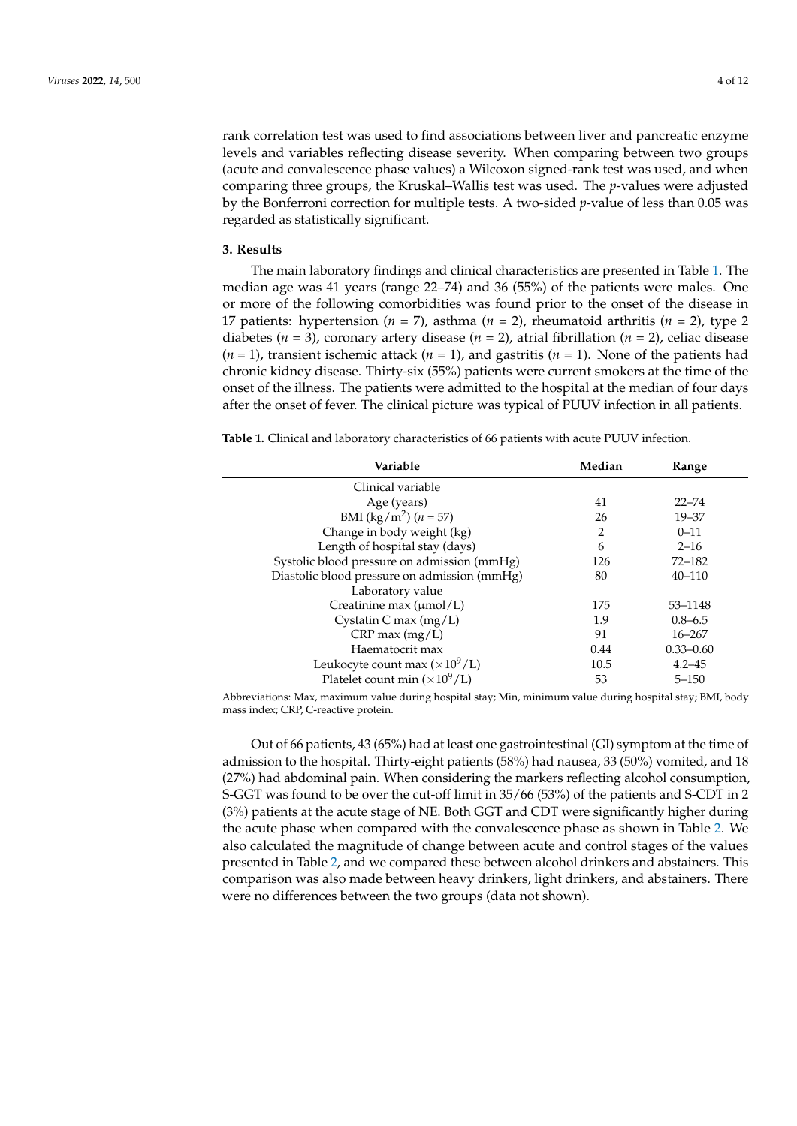rank correlation test was used to find associations between liver and pancreatic enzyme levels and variables reflecting disease severity. When comparing between two groups (acute and convalescence phase values) a Wilcoxon signed-rank test was used, and when comparing three groups, the Kruskal–Wallis test was used. The *p*-values were adjusted by the Bonferroni correction for multiple tests. A two-sided *p*-value of less than 0.05 was regarded as statistically significant.

#### **3. Results**

The main laboratory findings and clinical characteristics are presented in Table [1.](#page-3-0) The median age was 41 years (range 22–74) and 36 (55%) of the patients were males. One or more of the following comorbidities was found prior to the onset of the disease in 17 patients: hypertension (*n* = 7), asthma (*n* = 2), rheumatoid arthritis (*n* = 2), type 2 diabetes ( $n = 3$ ), coronary artery disease ( $n = 2$ ), atrial fibrillation ( $n = 2$ ), celiac disease (*n* = 1), transient ischemic attack (*n* = 1), and gastritis (*n* = 1). None of the patients had chronic kidney disease. Thirty-six (55%) patients were current smokers at the time of the onset of the illness. The patients were admitted to the hospital at the median of four days after the onset of fever. The clinical picture was typical of PUUV infection in all patients.

<span id="page-3-0"></span>**Table 1.** Clinical and laboratory characteristics of 66 patients with acute PUUV infection.

| Variable                                     | Median         | Range         |
|----------------------------------------------|----------------|---------------|
| Clinical variable                            |                |               |
| Age (years)                                  | 41             | $22 - 74$     |
| BMI (kg/m <sup>2</sup> ) ( $n = 57$ )        | 26             | $19 - 37$     |
| Change in body weight (kg)                   | $\overline{2}$ | $0 - 11$      |
| Length of hospital stay (days)               | 6              | $2 - 16$      |
| Systolic blood pressure on admission (mmHg)  | 126            | $72 - 182$    |
| Diastolic blood pressure on admission (mmHg) | 80             | $40 - 110$    |
| Laboratory value                             |                |               |
| Creatinine max (µmol/L)                      | 175            | 53–1148       |
| Cystatin C max (mg/L)                        | 1.9            | $0.8 - 6.5$   |
| $CRP$ max $(mg/L)$                           | 91             | $16 - 267$    |
| Haematocrit max                              | 0.44           | $0.33 - 0.60$ |
| Leukocyte count max $(\times 10^9/L)$        | 10.5           | $4.2 - 45$    |
| Platelet count min $(\times 10^9$ /L)        | 53             | $5 - 150$     |

Abbreviations: Max, maximum value during hospital stay; Min, minimum value during hospital stay; BMI, body mass index; CRP, C-reactive protein.

Out of 66 patients, 43 (65%) had at least one gastrointestinal (GI) symptom at the time of admission to the hospital. Thirty-eight patients (58%) had nausea, 33 (50%) vomited, and 18 (27%) had abdominal pain. When considering the markers reflecting alcohol consumption, S-GGT was found to be over the cut-off limit in 35/66 (53%) of the patients and S-CDT in 2 (3%) patients at the acute stage of NE. Both GGT and CDT were significantly higher during the acute phase when compared with the convalescence phase as shown in Table [2.](#page-4-0) We also calculated the magnitude of change between acute and control stages of the values presented in Table [2,](#page-4-0) and we compared these between alcohol drinkers and abstainers. This comparison was also made between heavy drinkers, light drinkers, and abstainers. There were no differences between the two groups (data not shown).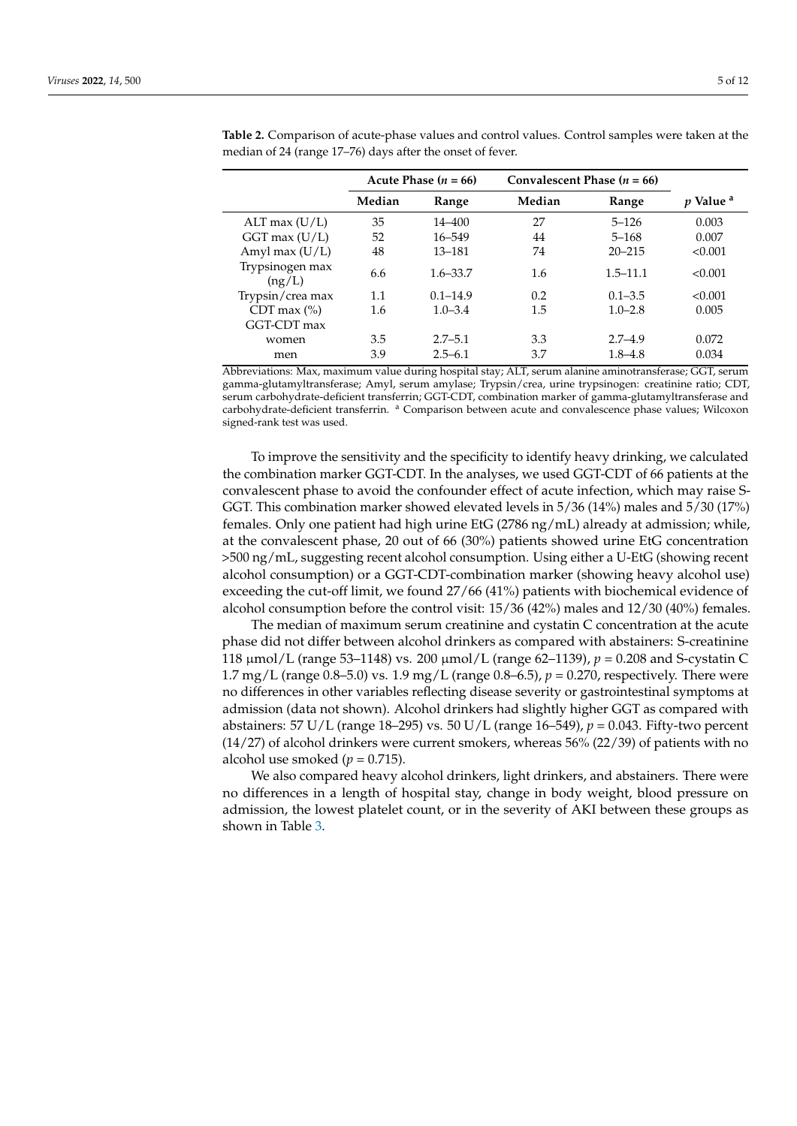|                           | Acute Phase $(n = 66)$ |              | Convalescent Phase $(n = 66)$ |              |                             |
|---------------------------|------------------------|--------------|-------------------------------|--------------|-----------------------------|
|                           | Median                 | Range        | Median                        | Range        | <i>p</i> Value <sup>a</sup> |
| ALT max $(U/L)$           | 35                     | 14–400       | 27                            | $5 - 126$    | 0.003                       |
| $GGT$ max $(U/L)$         | 52                     | 16-549       | 44                            | $5 - 168$    | 0.007                       |
| Amyl max $(U/L)$          | 48                     | $13 - 181$   | 74                            | $20 - 215$   | < 0.001                     |
| Trypsinogen max<br>(ng/L) | 6.6                    | $1.6 - 33.7$ | 1.6                           | $1.5 - 11.1$ | < 0.001                     |
| Trypsin/crea max          | 1.1                    | $0.1 - 14.9$ | 0.2                           | $0.1 - 3.5$  | < 0.001                     |
| CDT max $(\% )$           | 1.6                    | $1.0 - 3.4$  | 1.5                           | $1.0 - 2.8$  | 0.005                       |
| GGT-CDT max               |                        |              |                               |              |                             |
| women                     | 3.5                    | $2.7 - 5.1$  | 3.3                           | $2.7 - 4.9$  | 0.072                       |
| men                       | 3.9                    | $2.5 - 6.1$  | 3.7                           | $1.8 - 4.8$  | 0.034                       |

<span id="page-4-0"></span>**Table 2.** Comparison of acute-phase values and control values. Control samples were taken at the median of 24 (range 17–76) days after the onset of fever.

Abbreviations: Max, maximum value during hospital stay; ALT, serum alanine aminotransferase; GGT, serum gamma-glutamyltransferase; Amyl, serum amylase; Trypsin/crea, urine trypsinogen: creatinine ratio; CDT, serum carbohydrate-deficient transferrin; GGT-CDT, combination marker of gamma-glutamyltransferase and carbohydrate-deficient transferrin. <sup>a</sup> Comparison between acute and convalescence phase values; Wilcoxon signed-rank test was used.

To improve the sensitivity and the specificity to identify heavy drinking, we calculated the combination marker GGT-CDT. In the analyses, we used GGT-CDT of 66 patients at the convalescent phase to avoid the confounder effect of acute infection, which may raise S-GGT. This combination marker showed elevated levels in 5/36 (14%) males and 5/30 (17%) females. Only one patient had high urine EtG (2786 ng/mL) already at admission; while, at the convalescent phase, 20 out of 66 (30%) patients showed urine EtG concentration >500 ng/mL, suggesting recent alcohol consumption. Using either a U-EtG (showing recent alcohol consumption) or a GGT-CDT-combination marker (showing heavy alcohol use) exceeding the cut-off limit, we found 27/66 (41%) patients with biochemical evidence of alcohol consumption before the control visit: 15/36 (42%) males and 12/30 (40%) females.

The median of maximum serum creatinine and cystatin C concentration at the acute phase did not differ between alcohol drinkers as compared with abstainers: S-creatinine 118 µmol/L (range 53–1148) vs. 200 µmol/L (range 62–1139), *p* = 0.208 and S-cystatin C 1.7 mg/L (range  $0.8-5.0$ ) vs. 1.9 mg/L (range  $0.8-6.5$ ),  $p = 0.270$ , respectively. There were no differences in other variables reflecting disease severity or gastrointestinal symptoms at admission (data not shown). Alcohol drinkers had slightly higher GGT as compared with abstainers: 57 U/L (range 18–295) vs. 50 U/L (range 16–549), *p* = 0.043. Fifty-two percent (14/27) of alcohol drinkers were current smokers, whereas 56% (22/39) of patients with no alcohol use smoked ( $p = 0.715$ ).

We also compared heavy alcohol drinkers, light drinkers, and abstainers. There were no differences in a length of hospital stay, change in body weight, blood pressure on admission, the lowest platelet count, or in the severity of AKI between these groups as shown in Table [3.](#page-5-0)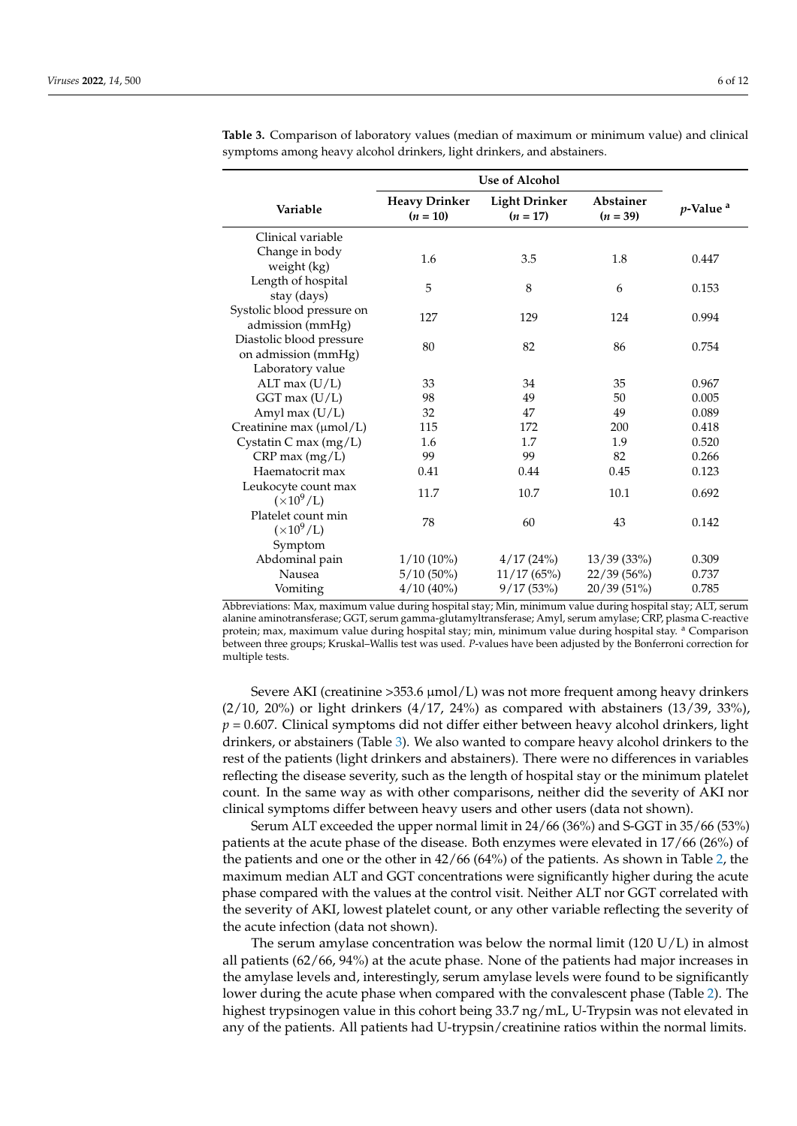|                                                 | Use of Alcohol                     |                                    |                                |                         |
|-------------------------------------------------|------------------------------------|------------------------------------|--------------------------------|-------------------------|
| Variable                                        | <b>Heavy Drinker</b><br>$(n = 10)$ | <b>Light Drinker</b><br>$(n = 17)$ | <b>Abstainer</b><br>$(n = 39)$ | $p$ -Value <sup>a</sup> |
| Clinical variable                               |                                    |                                    |                                |                         |
| Change in body<br>weight (kg)                   | 1.6                                | 3.5                                | 1.8                            | 0.447                   |
| Length of hospital<br>stay (days)               | 5                                  | 8                                  | 6                              | 0.153                   |
| Systolic blood pressure on<br>admission (mmHg)  | 127                                | 129                                | 124                            | 0.994                   |
| Diastolic blood pressure<br>on admission (mmHg) | 80                                 | 82                                 | 86                             | 0.754                   |
| Laboratory value<br>ALT max $(U/L)$             | 33                                 | 34                                 | 35                             | 0.967                   |
| GGT max (U/L)                                   | 98                                 | 49                                 | 50                             | 0.005                   |
| Amyl max (U/L)                                  | 32                                 | 47                                 | 49                             | 0.089                   |
| Creatinine max (µmol/L)                         | 115                                | 172                                | 200                            | 0.418                   |
| Cystatin C max (mg/L)                           | 1.6                                | 1.7                                | 1.9                            | 0.520                   |
| $CRP$ max $(mg/L)$                              | 99                                 | 99                                 | 82                             | 0.266                   |
| Haematocrit max                                 | 0.41                               | 0.44                               | 0.45                           | 0.123                   |
| Leukocyte count max<br>$(\times 10^9/L)$        | 11.7                               | 10.7                               | 10.1                           | 0.692                   |
| Platelet count min<br>$(\times 10^9/L)$         | 78                                 | 60                                 | 43                             | 0.142                   |
| Symptom                                         |                                    |                                    |                                |                         |
| Abdominal pain                                  | $1/10(10\%)$                       | 4/17(24%)                          | 13/39(33%)                     | 0.309                   |
| Nausea                                          | $5/10(50\%)$                       | 11/17(65%)                         | 22/39 (56%)                    | 0.737                   |
| Vomiting                                        | $4/10(40\%)$                       | 9/17(53%)                          | 20/39(51%)                     | 0.785                   |

<span id="page-5-0"></span>**Table 3.** Comparison of laboratory values (median of maximum or minimum value) and clinical symptoms among heavy alcohol drinkers, light drinkers, and abstainers.

Abbreviations: Max, maximum value during hospital stay; Min, minimum value during hospital stay; ALT, serum alanine aminotransferase; GGT, serum gamma-glutamyltransferase; Amyl, serum amylase; CRP, plasma C-reactive protein; max, maximum value during hospital stay; min, minimum value during hospital stay. <sup>a</sup> Comparison between three groups; Kruskal–Wallis test was used. *P*-values have been adjusted by the Bonferroni correction for multiple tests.

Severe AKI (creatinine  $>353.6 \mu$ mol/L) was not more frequent among heavy drinkers (2/10, 20%) or light drinkers (4/17, 24%) as compared with abstainers (13/39, 33%), *p* = 0.607. Clinical symptoms did not differ either between heavy alcohol drinkers, light drinkers, or abstainers (Table [3\)](#page-5-0). We also wanted to compare heavy alcohol drinkers to the rest of the patients (light drinkers and abstainers). There were no differences in variables reflecting the disease severity, such as the length of hospital stay or the minimum platelet count. In the same way as with other comparisons, neither did the severity of AKI nor clinical symptoms differ between heavy users and other users (data not shown).

Serum ALT exceeded the upper normal limit in 24/66 (36%) and S-GGT in 35/66 (53%) patients at the acute phase of the disease. Both enzymes were elevated in 17/66 (26%) of the patients and one or the other in 42/66 (64%) of the patients. As shown in Table [2,](#page-4-0) the maximum median ALT and GGT concentrations were significantly higher during the acute phase compared with the values at the control visit. Neither ALT nor GGT correlated with the severity of AKI, lowest platelet count, or any other variable reflecting the severity of the acute infection (data not shown).

The serum amylase concentration was below the normal limit (120  $U/L$ ) in almost all patients (62/66, 94%) at the acute phase. None of the patients had major increases in the amylase levels and, interestingly, serum amylase levels were found to be significantly lower during the acute phase when compared with the convalescent phase (Table [2\)](#page-4-0). The highest trypsinogen value in this cohort being 33.7 ng/mL, U-Trypsin was not elevated in any of the patients. All patients had U-trypsin/creatinine ratios within the normal limits.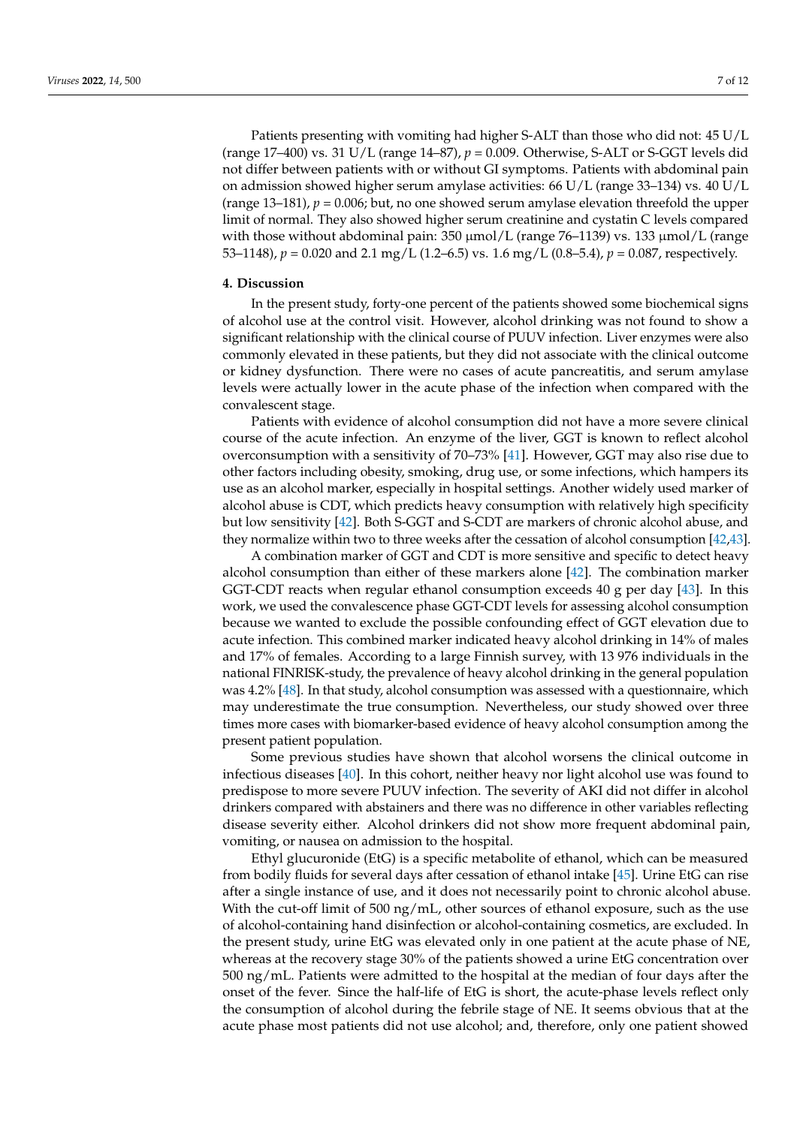Patients presenting with vomiting had higher S-ALT than those who did not: 45 U/L (range 17–400) vs. 31 U/L (range 14–87), *p* = 0.009. Otherwise, S-ALT or S-GGT levels did not differ between patients with or without GI symptoms. Patients with abdominal pain on admission showed higher serum amylase activities:  $66 \text{ U/L}$  (range 33–134) vs. 40 U/L (range  $13-181$ ),  $p = 0.006$ ; but, no one showed serum amylase elevation threefold the upper limit of normal. They also showed higher serum creatinine and cystatin C levels compared with those without abdominal pain:  $350 \mu \text{mol/L}$  (range  $76-1139$ ) vs.  $133 \mu \text{mol/L}$  (range 53–1148), *p* = 0.020 and 2.1 mg/L (1.2–6.5) vs. 1.6 mg/L (0.8–5.4), *p* = 0.087, respectively.

# **4. Discussion**

In the present study, forty-one percent of the patients showed some biochemical signs of alcohol use at the control visit. However, alcohol drinking was not found to show a significant relationship with the clinical course of PUUV infection. Liver enzymes were also commonly elevated in these patients, but they did not associate with the clinical outcome or kidney dysfunction. There were no cases of acute pancreatitis, and serum amylase levels were actually lower in the acute phase of the infection when compared with the convalescent stage.

Patients with evidence of alcohol consumption did not have a more severe clinical course of the acute infection. An enzyme of the liver, GGT is known to reflect alcohol overconsumption with a sensitivity of 70–73% [\[41\]](#page-10-12). However, GGT may also rise due to other factors including obesity, smoking, drug use, or some infections, which hampers its use as an alcohol marker, especially in hospital settings. Another widely used marker of alcohol abuse is CDT, which predicts heavy consumption with relatively high specificity but low sensitivity [\[42\]](#page-10-13). Both S-GGT and S-CDT are markers of chronic alcohol abuse, and they normalize within two to three weeks after the cessation of alcohol consumption [\[42](#page-10-13)[,43\]](#page-10-14).

A combination marker of GGT and CDT is more sensitive and specific to detect heavy alcohol consumption than either of these markers alone [\[42\]](#page-10-13). The combination marker GGT-CDT reacts when regular ethanol consumption exceeds 40 g per day [\[43\]](#page-10-14). In this work, we used the convalescence phase GGT-CDT levels for assessing alcohol consumption because we wanted to exclude the possible confounding effect of GGT elevation due to acute infection. This combined marker indicated heavy alcohol drinking in 14% of males and 17% of females. According to a large Finnish survey, with 13 976 individuals in the national FINRISK-study, the prevalence of heavy alcohol drinking in the general population was 4.2% [\[48\]](#page-10-19). In that study, alcohol consumption was assessed with a questionnaire, which may underestimate the true consumption. Nevertheless, our study showed over three times more cases with biomarker-based evidence of heavy alcohol consumption among the present patient population.

Some previous studies have shown that alcohol worsens the clinical outcome in infectious diseases [\[40\]](#page-10-11). In this cohort, neither heavy nor light alcohol use was found to predispose to more severe PUUV infection. The severity of AKI did not differ in alcohol drinkers compared with abstainers and there was no difference in other variables reflecting disease severity either. Alcohol drinkers did not show more frequent abdominal pain, vomiting, or nausea on admission to the hospital.

Ethyl glucuronide (EtG) is a specific metabolite of ethanol, which can be measured from bodily fluids for several days after cessation of ethanol intake [\[45\]](#page-10-16). Urine EtG can rise after a single instance of use, and it does not necessarily point to chronic alcohol abuse. With the cut-off limit of 500 ng/mL, other sources of ethanol exposure, such as the use of alcohol-containing hand disinfection or alcohol-containing cosmetics, are excluded. In the present study, urine EtG was elevated only in one patient at the acute phase of NE, whereas at the recovery stage 30% of the patients showed a urine EtG concentration over 500 ng/mL. Patients were admitted to the hospital at the median of four days after the onset of the fever. Since the half-life of EtG is short, the acute-phase levels reflect only the consumption of alcohol during the febrile stage of NE. It seems obvious that at the acute phase most patients did not use alcohol; and, therefore, only one patient showed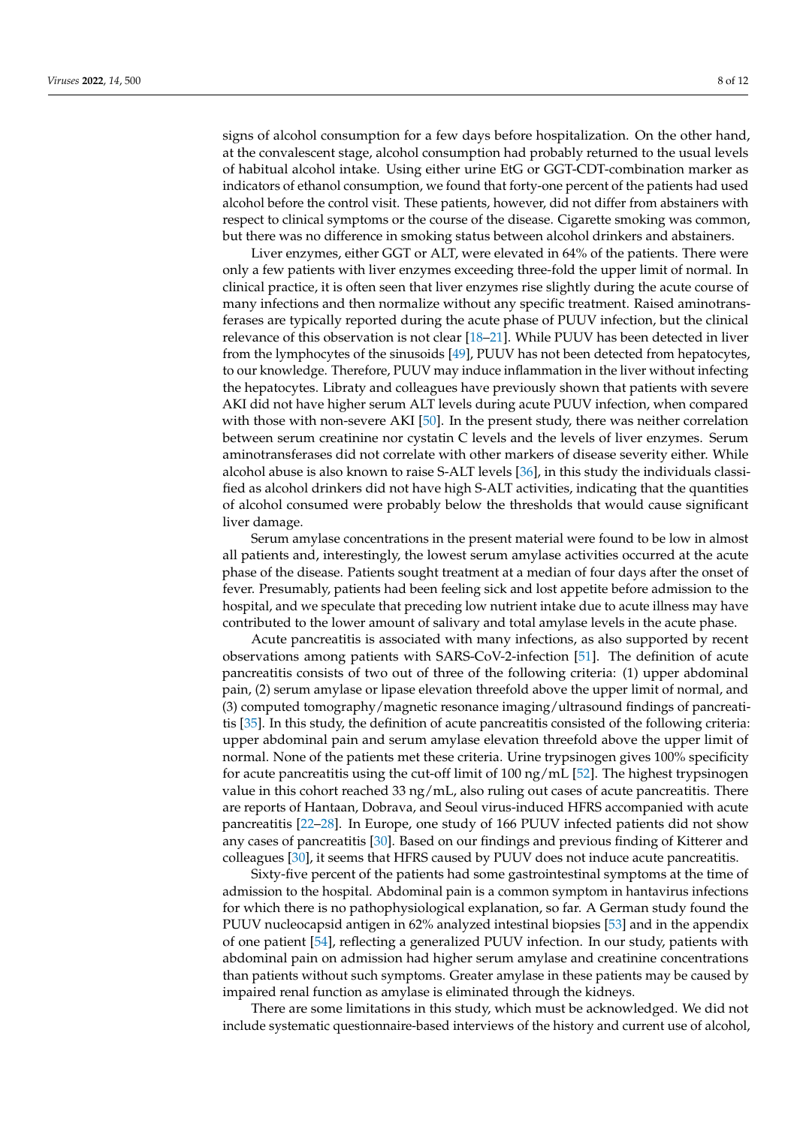signs of alcohol consumption for a few days before hospitalization. On the other hand, at the convalescent stage, alcohol consumption had probably returned to the usual levels of habitual alcohol intake. Using either urine EtG or GGT-CDT-combination marker as indicators of ethanol consumption, we found that forty-one percent of the patients had used alcohol before the control visit. These patients, however, did not differ from abstainers with respect to clinical symptoms or the course of the disease. Cigarette smoking was common, but there was no difference in smoking status between alcohol drinkers and abstainers.

Liver enzymes, either GGT or ALT, were elevated in 64% of the patients. There were only a few patients with liver enzymes exceeding three-fold the upper limit of normal. In clinical practice, it is often seen that liver enzymes rise slightly during the acute course of many infections and then normalize without any specific treatment. Raised aminotransferases are typically reported during the acute phase of PUUV infection, but the clinical relevance of this observation is not clear [\[18–](#page-9-15)[21\]](#page-9-16). While PUUV has been detected in liver from the lymphocytes of the sinusoids [\[49\]](#page-10-20), PUUV has not been detected from hepatocytes, to our knowledge. Therefore, PUUV may induce inflammation in the liver without infecting the hepatocytes. Libraty and colleagues have previously shown that patients with severe AKI did not have higher serum ALT levels during acute PUUV infection, when compared with those with non-severe AKI [\[50\]](#page-10-21). In the present study, there was neither correlation between serum creatinine nor cystatin C levels and the levels of liver enzymes. Serum aminotransferases did not correlate with other markers of disease severity either. While alcohol abuse is also known to raise S-ALT levels [\[36\]](#page-10-7), in this study the individuals classified as alcohol drinkers did not have high S-ALT activities, indicating that the quantities of alcohol consumed were probably below the thresholds that would cause significant liver damage.

Serum amylase concentrations in the present material were found to be low in almost all patients and, interestingly, the lowest serum amylase activities occurred at the acute phase of the disease. Patients sought treatment at a median of four days after the onset of fever. Presumably, patients had been feeling sick and lost appetite before admission to the hospital, and we speculate that preceding low nutrient intake due to acute illness may have contributed to the lower amount of salivary and total amylase levels in the acute phase.

Acute pancreatitis is associated with many infections, as also supported by recent observations among patients with SARS-CoV-2-infection [\[51\]](#page-10-22). The definition of acute pancreatitis consists of two out of three of the following criteria: (1) upper abdominal pain, (2) serum amylase or lipase elevation threefold above the upper limit of normal, and (3) computed tomography/magnetic resonance imaging/ultrasound findings of pancreatitis [\[35\]](#page-10-6). In this study, the definition of acute pancreatitis consisted of the following criteria: upper abdominal pain and serum amylase elevation threefold above the upper limit of normal. None of the patients met these criteria. Urine trypsinogen gives 100% specificity for acute pancreatitis using the cut-off limit of  $100 \text{ ng/mL}$  [\[52\]](#page-10-23). The highest trypsinogen value in this cohort reached 33  $\frac{mg}{mL}$ , also ruling out cases of acute pancreatitis. There are reports of Hantaan, Dobrava, and Seoul virus-induced HFRS accompanied with acute pancreatitis [\[22–](#page-9-18)[28\]](#page-10-0). In Europe, one study of 166 PUUV infected patients did not show any cases of pancreatitis [\[30\]](#page-10-2). Based on our findings and previous finding of Kitterer and colleagues [\[30\]](#page-10-2), it seems that HFRS caused by PUUV does not induce acute pancreatitis.

Sixty-five percent of the patients had some gastrointestinal symptoms at the time of admission to the hospital. Abdominal pain is a common symptom in hantavirus infections for which there is no pathophysiological explanation, so far. A German study found the PUUV nucleocapsid antigen in 62% analyzed intestinal biopsies [\[53\]](#page-11-0) and in the appendix of one patient [\[54\]](#page-11-1), reflecting a generalized PUUV infection. In our study, patients with abdominal pain on admission had higher serum amylase and creatinine concentrations than patients without such symptoms. Greater amylase in these patients may be caused by impaired renal function as amylase is eliminated through the kidneys.

There are some limitations in this study, which must be acknowledged. We did not include systematic questionnaire-based interviews of the history and current use of alcohol,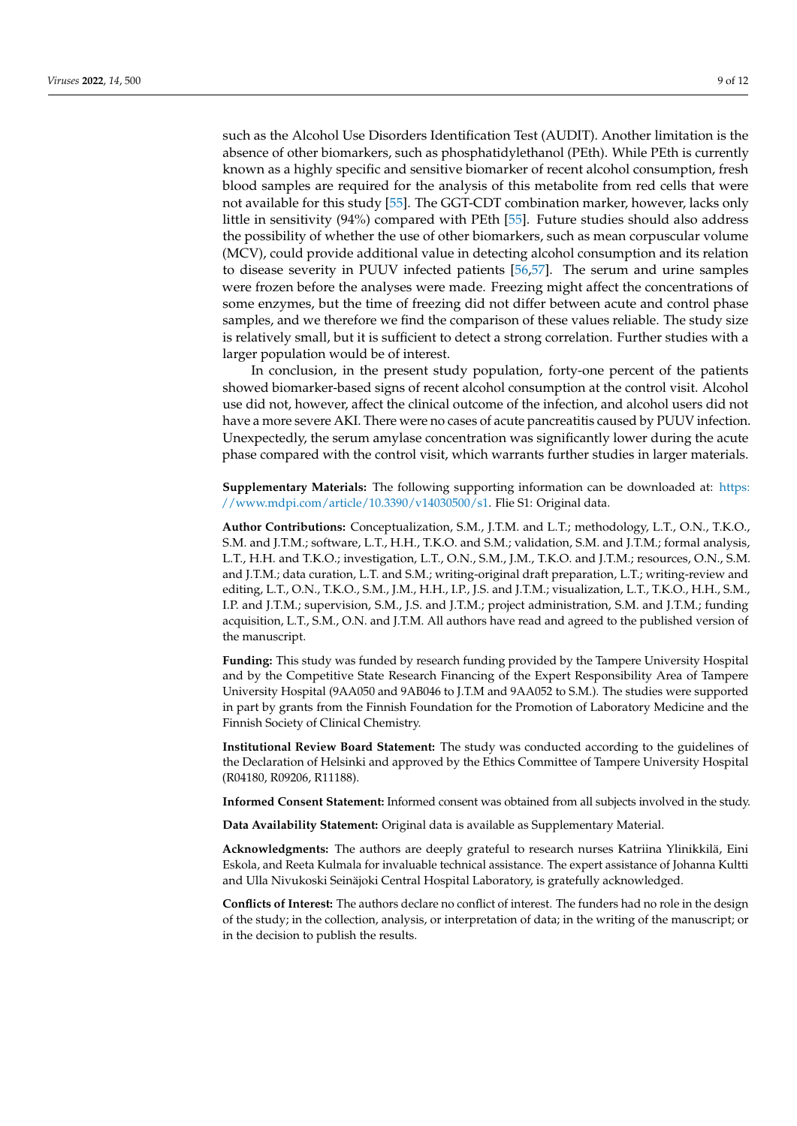such as the Alcohol Use Disorders Identification Test (AUDIT). Another limitation is the absence of other biomarkers, such as phosphatidylethanol (PEth). While PEth is currently known as a highly specific and sensitive biomarker of recent alcohol consumption, fresh blood samples are required for the analysis of this metabolite from red cells that were not available for this study [\[55\]](#page-11-2). The GGT-CDT combination marker, however, lacks only little in sensitivity (94%) compared with PEth [\[55\]](#page-11-2). Future studies should also address the possibility of whether the use of other biomarkers, such as mean corpuscular volume (MCV), could provide additional value in detecting alcohol consumption and its relation to disease severity in PUUV infected patients [\[56,](#page-11-3)[57\]](#page-11-4). The serum and urine samples were frozen before the analyses were made. Freezing might affect the concentrations of some enzymes, but the time of freezing did not differ between acute and control phase samples, and we therefore we find the comparison of these values reliable. The study size is relatively small, but it is sufficient to detect a strong correlation. Further studies with a larger population would be of interest.

In conclusion, in the present study population, forty-one percent of the patients showed biomarker-based signs of recent alcohol consumption at the control visit. Alcohol use did not, however, affect the clinical outcome of the infection, and alcohol users did not have a more severe AKI. There were no cases of acute pancreatitis caused by PUUV infection. Unexpectedly, the serum amylase concentration was significantly lower during the acute phase compared with the control visit, which warrants further studies in larger materials.

**Supplementary Materials:** The following supporting information can be downloaded at: [https:](https://www.mdpi.com/article/10.3390/v14030500/s1) [//www.mdpi.com/article/10.3390/v14030500/s1.](https://www.mdpi.com/article/10.3390/v14030500/s1) Flie S1: Original data.

**Author Contributions:** Conceptualization, S.M., J.T.M. and L.T.; methodology, L.T., O.N., T.K.O., S.M. and J.T.M.; software, L.T., H.H., T.K.O. and S.M.; validation, S.M. and J.T.M.; formal analysis, L.T., H.H. and T.K.O.; investigation, L.T., O.N., S.M., J.M., T.K.O. and J.T.M.; resources, O.N., S.M. and J.T.M.; data curation, L.T. and S.M.; writing-original draft preparation, L.T.; writing-review and editing, L.T., O.N., T.K.O., S.M., J.M., H.H., I.P., J.S. and J.T.M.; visualization, L.T., T.K.O., H.H., S.M., I.P. and J.T.M.; supervision, S.M., J.S. and J.T.M.; project administration, S.M. and J.T.M.; funding acquisition, L.T., S.M., O.N. and J.T.M. All authors have read and agreed to the published version of the manuscript.

**Funding:** This study was funded by research funding provided by the Tampere University Hospital and by the Competitive State Research Financing of the Expert Responsibility Area of Tampere University Hospital (9AA050 and 9AB046 to J.T.M and 9AA052 to S.M.). The studies were supported in part by grants from the Finnish Foundation for the Promotion of Laboratory Medicine and the Finnish Society of Clinical Chemistry.

**Institutional Review Board Statement:** The study was conducted according to the guidelines of the Declaration of Helsinki and approved by the Ethics Committee of Tampere University Hospital (R04180, R09206, R11188).

**Informed Consent Statement:** Informed consent was obtained from all subjects involved in the study.

**Data Availability Statement:** Original data is available as Supplementary Material.

**Acknowledgments:** The authors are deeply grateful to research nurses Katriina Ylinikkilä, Eini Eskola, and Reeta Kulmala for invaluable technical assistance. The expert assistance of Johanna Kultti and Ulla Nivukoski Seinäjoki Central Hospital Laboratory, is gratefully acknowledged.

**Conflicts of Interest:** The authors declare no conflict of interest. The funders had no role in the design of the study; in the collection, analysis, or interpretation of data; in the writing of the manuscript; or in the decision to publish the results.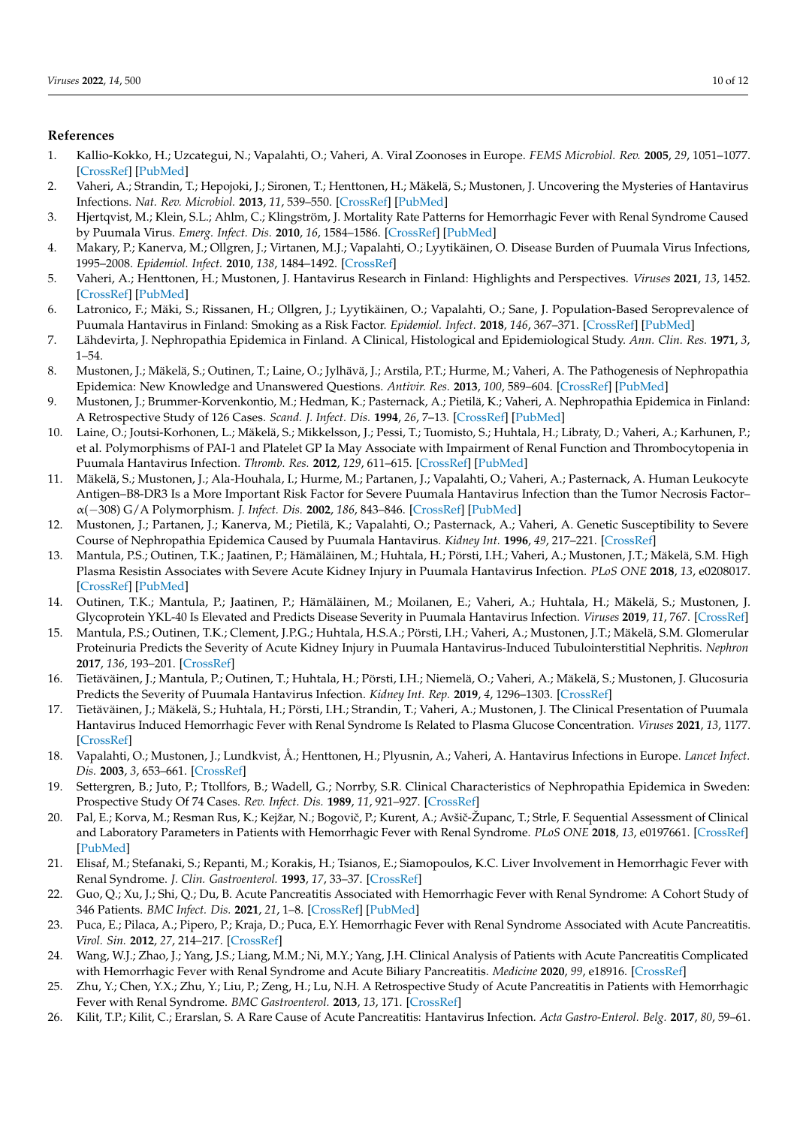# **References**

- <span id="page-9-0"></span>1. Kallio-Kokko, H.; Uzcategui, N.; Vapalahti, O.; Vaheri, A. Viral Zoonoses in Europe. *FEMS Microbiol. Rev.* **2005**, *29*, 1051–1077. [\[CrossRef\]](http://doi.org/10.1016/j.femsre.2005.04.012) [\[PubMed\]](http://www.ncbi.nlm.nih.gov/pubmed/16024128)
- <span id="page-9-1"></span>2. Vaheri, A.; Strandin, T.; Hepojoki, J.; Sironen, T.; Henttonen, H.; Mäkelä, S.; Mustonen, J. Uncovering the Mysteries of Hantavirus Infections. *Nat. Rev. Microbiol.* **2013**, *11*, 539–550. [\[CrossRef\]](http://doi.org/10.1038/nrmicro3066) [\[PubMed\]](http://www.ncbi.nlm.nih.gov/pubmed/24020072)
- <span id="page-9-2"></span>3. Hjertqvist, M.; Klein, S.L.; Ahlm, C.; Klingström, J. Mortality Rate Patterns for Hemorrhagic Fever with Renal Syndrome Caused by Puumala Virus. *Emerg. Infect. Dis.* **2010**, *16*, 1584–1586. [\[CrossRef\]](http://doi.org/10.3201/eid1610.100242) [\[PubMed\]](http://www.ncbi.nlm.nih.gov/pubmed/20875284)
- <span id="page-9-3"></span>4. Makary, P.; Kanerva, M.; Ollgren, J.; Virtanen, M.J.; Vapalahti, O.; Lyytikäinen, O. Disease Burden of Puumala Virus Infections, 1995–2008. *Epidemiol. Infect.* **2010**, *138*, 1484–1492. [\[CrossRef\]](http://doi.org/10.1017/S0950268810000087)
- <span id="page-9-4"></span>5. Vaheri, A.; Henttonen, H.; Mustonen, J. Hantavirus Research in Finland: Highlights and Perspectives. *Viruses* **2021**, *13*, 1452. [\[CrossRef\]](http://doi.org/10.3390/v13081452) [\[PubMed\]](http://www.ncbi.nlm.nih.gov/pubmed/34452318)
- <span id="page-9-5"></span>6. Latronico, F.; Mäki, S.; Rissanen, H.; Ollgren, J.; Lyytikäinen, O.; Vapalahti, O.; Sane, J. Population-Based Seroprevalence of Puumala Hantavirus in Finland: Smoking as a Risk Factor. *Epidemiol. Infect.* **2018**, *146*, 367–371. [\[CrossRef\]](http://doi.org/10.1017/S0950268817002904) [\[PubMed\]](http://www.ncbi.nlm.nih.gov/pubmed/29310747)
- <span id="page-9-6"></span>7. Lähdevirta, J. Nephropathia Epidemica in Finland. A Clinical, Histological and Epidemiological Study. *Ann. Clin. Res.* **1971**, *3*, 1–54.
- <span id="page-9-7"></span>8. Mustonen, J.; Mäkelä, S.; Outinen, T.; Laine, O.; Jylhävä, J.; Arstila, P.T.; Hurme, M.; Vaheri, A. The Pathogenesis of Nephropathia Epidemica: New Knowledge and Unanswered Questions. *Antivir. Res.* **2013**, *100*, 589–604. [\[CrossRef\]](http://doi.org/10.1016/j.antiviral.2013.10.001) [\[PubMed\]](http://www.ncbi.nlm.nih.gov/pubmed/24126075)
- <span id="page-9-8"></span>9. Mustonen, J.; Brummer-Korvenkontio, M.; Hedman, K.; Pasternack, A.; Pietilä, K.; Vaheri, A. Nephropathia Epidemica in Finland: A Retrospective Study of 126 Cases. *Scand. J. Infect. Dis.* **1994**, *26*, 7–13. [\[CrossRef\]](http://doi.org/10.3109/00365549409008583) [\[PubMed\]](http://www.ncbi.nlm.nih.gov/pubmed/7910705)
- <span id="page-9-9"></span>10. Laine, O.; Joutsi-Korhonen, L.; Mäkelä, S.; Mikkelsson, J.; Pessi, T.; Tuomisto, S.; Huhtala, H.; Libraty, D.; Vaheri, A.; Karhunen, P.; et al. Polymorphisms of PAI-1 and Platelet GP Ia May Associate with Impairment of Renal Function and Thrombocytopenia in Puumala Hantavirus Infection. *Thromb. Res.* **2012**, *129*, 611–615. [\[CrossRef\]](http://doi.org/10.1016/j.thromres.2011.11.007) [\[PubMed\]](http://www.ncbi.nlm.nih.gov/pubmed/22133274)
- 11. Mäkelä, S.; Mustonen, J.; Ala-Houhala, I.; Hurme, M.; Partanen, J.; Vapalahti, O.; Vaheri, A.; Pasternack, A. Human Leukocyte Antigen–B8-DR3 Is a More Important Risk Factor for Severe Puumala Hantavirus Infection than the Tumor Necrosis Factor– α(−308) G/A Polymorphism. *J. Infect. Dis.* **2002**, *186*, 843–846. [\[CrossRef\]](http://doi.org/10.1086/342413) [\[PubMed\]](http://www.ncbi.nlm.nih.gov/pubmed/12198621)
- <span id="page-9-10"></span>12. Mustonen, J.; Partanen, J.; Kanerva, M.; Pietilä, K.; Vapalahti, O.; Pasternack, A.; Vaheri, A. Genetic Susceptibility to Severe Course of Nephropathia Epidemica Caused by Puumala Hantavirus. *Kidney Int.* **1996**, *49*, 217–221. [\[CrossRef\]](http://doi.org/10.1038/ki.1996.29)
- <span id="page-9-11"></span>13. Mantula, P.S.; Outinen, T.K.; Jaatinen, P.; Hämäläinen, M.; Huhtala, H.; Pörsti, I.H.; Vaheri, A.; Mustonen, J.T.; Mäkelä, S.M. High Plasma Resistin Associates with Severe Acute Kidney Injury in Puumala Hantavirus Infection. *PLoS ONE* **2018**, *13*, e0208017. [\[CrossRef\]](http://doi.org/10.1371/journal.pone.0208017) [\[PubMed\]](http://www.ncbi.nlm.nih.gov/pubmed/30517161)
- <span id="page-9-12"></span>14. Outinen, T.K.; Mantula, P.; Jaatinen, P.; Hämäläinen, M.; Moilanen, E.; Vaheri, A.; Huhtala, H.; Mäkelä, S.; Mustonen, J. Glycoprotein YKL-40 Is Elevated and Predicts Disease Severity in Puumala Hantavirus Infection. *Viruses* **2019**, *11*, 767. [\[CrossRef\]](http://doi.org/10.3390/v11090767)
- <span id="page-9-13"></span>15. Mantula, P.S.; Outinen, T.K.; Clement, J.P.G.; Huhtala, H.S.A.; Pörsti, I.H.; Vaheri, A.; Mustonen, J.T.; Mäkelä, S.M. Glomerular Proteinuria Predicts the Severity of Acute Kidney Injury in Puumala Hantavirus-Induced Tubulointerstitial Nephritis. *Nephron* **2017**, *136*, 193–201. [\[CrossRef\]](http://doi.org/10.1159/000459634)
- 16. Tietäväinen, J.; Mantula, P.; Outinen, T.; Huhtala, H.; Pörsti, I.H.; Niemelä, O.; Vaheri, A.; Mäkelä, S.; Mustonen, J. Glucosuria Predicts the Severity of Puumala Hantavirus Infection. *Kidney Int. Rep.* **2019**, *4*, 1296–1303. [\[CrossRef\]](http://doi.org/10.1016/j.ekir.2019.05.770)
- <span id="page-9-14"></span>17. Tietäväinen, J.; Mäkelä, S.; Huhtala, H.; Pörsti, I.H.; Strandin, T.; Vaheri, A.; Mustonen, J. The Clinical Presentation of Puumala Hantavirus Induced Hemorrhagic Fever with Renal Syndrome Is Related to Plasma Glucose Concentration. *Viruses* **2021**, *13*, 1177. [\[CrossRef\]](http://doi.org/10.3390/v13061177)
- <span id="page-9-15"></span>18. Vapalahti, O.; Mustonen, J.; Lundkvist, Å.; Henttonen, H.; Plyusnin, A.; Vaheri, A. Hantavirus Infections in Europe. *Lancet Infect. Dis.* **2003**, *3*, 653–661. [\[CrossRef\]](http://doi.org/10.1016/S1473-3099(03)00774-6)
- <span id="page-9-17"></span>19. Settergren, B.; Juto, P.; Ttollfors, B.; Wadell, G.; Norrby, S.R. Clinical Characteristics of Nephropathia Epidemica in Sweden: Prospective Study Of 74 Cases. *Rev. Infect. Dis.* **1989**, *11*, 921–927. [\[CrossRef\]](http://doi.org/10.1093/clinids/11.6.921)
- 20. Pal, E.; Korva, M.; Resman Rus, K.; Kejžar, N.; Bogovič, P.; Kurent, A.; Avšič-Županc, T.; Strle, F. Sequential Assessment of Clinical and Laboratory Parameters in Patients with Hemorrhagic Fever with Renal Syndrome. *PLoS ONE* **2018**, *13*, e0197661. [\[CrossRef\]](http://doi.org/10.1371/journal.pone.0197661) [\[PubMed\]](http://www.ncbi.nlm.nih.gov/pubmed/29791494)
- <span id="page-9-16"></span>21. Elisaf, M.; Stefanaki, S.; Repanti, M.; Korakis, H.; Tsianos, E.; Siamopoulos, K.C. Liver Involvement in Hemorrhagic Fever with Renal Syndrome. *J. Clin. Gastroenterol.* **1993**, *17*, 33–37. [\[CrossRef\]](http://doi.org/10.1097/00004836-199307000-00010)
- <span id="page-9-18"></span>22. Guo, Q.; Xu, J.; Shi, Q.; Du, B. Acute Pancreatitis Associated with Hemorrhagic Fever with Renal Syndrome: A Cohort Study of 346 Patients. *BMC Infect. Dis.* **2021**, *21*, 1–8. [\[CrossRef\]](http://doi.org/10.1186/s12879-021-05964-5) [\[PubMed\]](http://www.ncbi.nlm.nih.gov/pubmed/33731024)
- 23. Puca, E.; Pilaca, A.; Pipero, P.; Kraja, D.; Puca, E.Y. Hemorrhagic Fever with Renal Syndrome Associated with Acute Pancreatitis. *Virol. Sin.* **2012**, *27*, 214–217. [\[CrossRef\]](http://doi.org/10.1007/s12250-012-3231-3)
- 24. Wang, W.J.; Zhao, J.; Yang, J.S.; Liang, M.M.; Ni, M.Y.; Yang, J.H. Clinical Analysis of Patients with Acute Pancreatitis Complicated with Hemorrhagic Fever with Renal Syndrome and Acute Biliary Pancreatitis. *Medicine* **2020**, *99*, e18916. [\[CrossRef\]](http://doi.org/10.1097/MD.0000000000018916)
- 25. Zhu, Y.; Chen, Y.X.; Zhu, Y.; Liu, P.; Zeng, H.; Lu, N.H. A Retrospective Study of Acute Pancreatitis in Patients with Hemorrhagic Fever with Renal Syndrome. *BMC Gastroenterol.* **2013**, *13*, 171. [\[CrossRef\]](http://doi.org/10.1186/1471-230X-13-171)
- 26. Kilit, T.P.; Kilit, C.; Erarslan, S. A Rare Cause of Acute Pancreatitis: Hantavirus Infection. *Acta Gastro-Enterol. Belg.* **2017**, *80*, 59–61.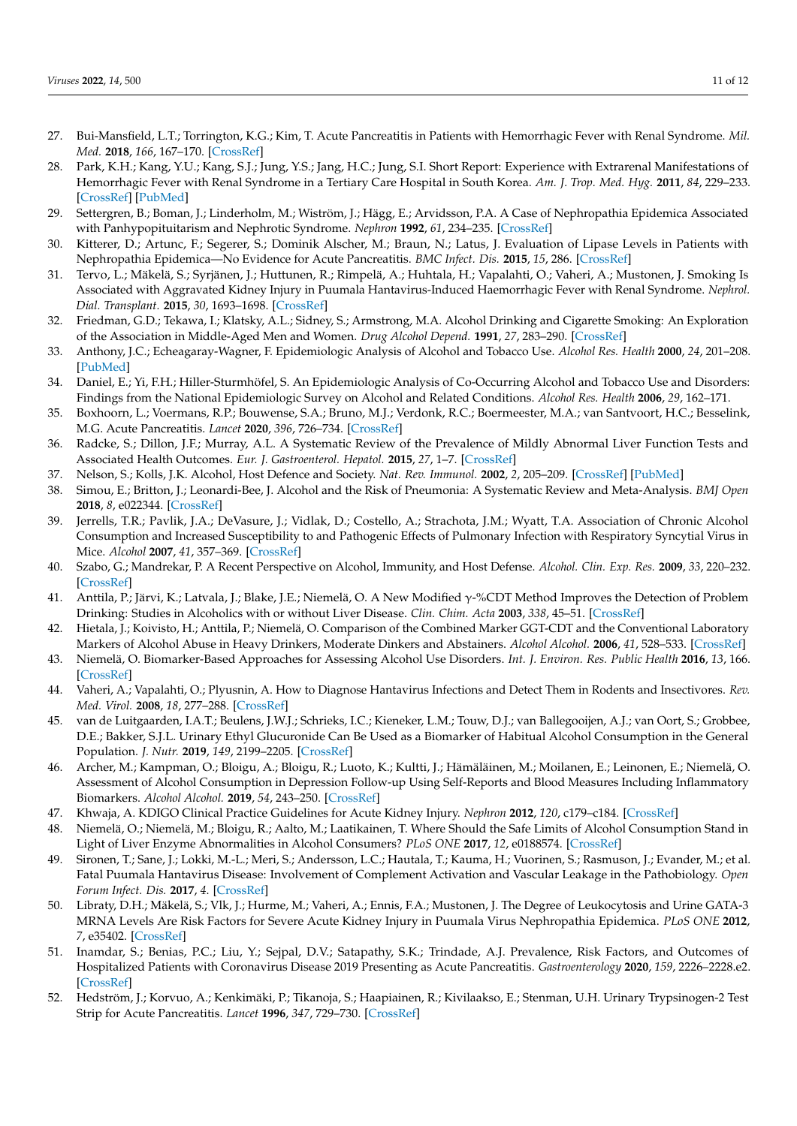- 27. Bui-Mansfield, L.T.; Torrington, K.G.; Kim, T. Acute Pancreatitis in Patients with Hemorrhagic Fever with Renal Syndrome. *Mil. Med.* **2018**, *166*, 167–170. [\[CrossRef\]](http://doi.org/10.1093/milmed/166.2.167)
- <span id="page-10-0"></span>28. Park, K.H.; Kang, Y.U.; Kang, S.J.; Jung, Y.S.; Jang, H.C.; Jung, S.I. Short Report: Experience with Extrarenal Manifestations of Hemorrhagic Fever with Renal Syndrome in a Tertiary Care Hospital in South Korea. *Am. J. Trop. Med. Hyg.* **2011**, *84*, 229–233. [\[CrossRef\]](http://doi.org/10.4269/ajtmh.2011.10-0024) [\[PubMed\]](http://www.ncbi.nlm.nih.gov/pubmed/21292889)
- <span id="page-10-1"></span>29. Settergren, B.; Boman, J.; Linderholm, M.; Wiström, J.; Hägg, E.; Arvidsson, P.A. A Case of Nephropathia Epidemica Associated with Panhypopituitarism and Nephrotic Syndrome. *Nephron* **1992**, *61*, 234–235. [\[CrossRef\]](http://doi.org/10.1159/000186883)
- <span id="page-10-2"></span>30. Kitterer, D.; Artunc, F.; Segerer, S.; Dominik Alscher, M.; Braun, N.; Latus, J. Evaluation of Lipase Levels in Patients with Nephropathia Epidemica—No Evidence for Acute Pancreatitis. *BMC Infect. Dis.* **2015**, *15*, 286. [\[CrossRef\]](http://doi.org/10.1186/s12879-015-1031-8)
- <span id="page-10-3"></span>31. Tervo, L.; Mäkelä, S.; Syrjänen, J.; Huttunen, R.; Rimpelä, A.; Huhtala, H.; Vapalahti, O.; Vaheri, A.; Mustonen, J. Smoking Is Associated with Aggravated Kidney Injury in Puumala Hantavirus-Induced Haemorrhagic Fever with Renal Syndrome. *Nephrol. Dial. Transplant.* **2015**, *30*, 1693–1698. [\[CrossRef\]](http://doi.org/10.1093/ndt/gfv273)
- <span id="page-10-4"></span>32. Friedman, G.D.; Tekawa, I.; Klatsky, A.L.; Sidney, S.; Armstrong, M.A. Alcohol Drinking and Cigarette Smoking: An Exploration of the Association in Middle-Aged Men and Women. *Drug Alcohol Depend.* **1991**, *27*, 283–290. [\[CrossRef\]](http://doi.org/10.1016/0376-8716(91)90011-M)
- 33. Anthony, J.C.; Echeagaray-Wagner, F. Epidemiologic Analysis of Alcohol and Tobacco Use. *Alcohol Res. Health* **2000**, *24*, 201–208. [\[PubMed\]](http://www.ncbi.nlm.nih.gov/pubmed/15986714)
- <span id="page-10-5"></span>34. Daniel, E.; Yi, F.H.; Hiller-Sturmhöfel, S. An Epidemiologic Analysis of Co-Occurring Alcohol and Tobacco Use and Disorders: Findings from the National Epidemiologic Survey on Alcohol and Related Conditions. *Alcohol Res. Health* **2006**, *29*, 162–171.
- <span id="page-10-6"></span>35. Boxhoorn, L.; Voermans, R.P.; Bouwense, S.A.; Bruno, M.J.; Verdonk, R.C.; Boermeester, M.A.; van Santvoort, H.C.; Besselink, M.G. Acute Pancreatitis. *Lancet* **2020**, *396*, 726–734. [\[CrossRef\]](http://doi.org/10.1016/S0140-6736(20)31310-6)
- <span id="page-10-7"></span>36. Radcke, S.; Dillon, J.F.; Murray, A.L. A Systematic Review of the Prevalence of Mildly Abnormal Liver Function Tests and Associated Health Outcomes. *Eur. J. Gastroenterol. Hepatol.* **2015**, *27*, 1–7. [\[CrossRef\]](http://doi.org/10.1097/MEG.0000000000000233)
- <span id="page-10-8"></span>37. Nelson, S.; Kolls, J.K. Alcohol, Host Defence and Society. *Nat. Rev. Immunol.* **2002**, *2*, 205–209. [\[CrossRef\]](http://doi.org/10.1038/nri744) [\[PubMed\]](http://www.ncbi.nlm.nih.gov/pubmed/11913071)
- <span id="page-10-9"></span>38. Simou, E.; Britton, J.; Leonardi-Bee, J. Alcohol and the Risk of Pneumonia: A Systematic Review and Meta-Analysis. *BMJ Open* **2018**, *8*, e022344. [\[CrossRef\]](http://doi.org/10.1136/bmjopen-2018-022344)
- <span id="page-10-10"></span>39. Jerrells, T.R.; Pavlik, J.A.; DeVasure, J.; Vidlak, D.; Costello, A.; Strachota, J.M.; Wyatt, T.A. Association of Chronic Alcohol Consumption and Increased Susceptibility to and Pathogenic Effects of Pulmonary Infection with Respiratory Syncytial Virus in Mice. *Alcohol* **2007**, *41*, 357–369. [\[CrossRef\]](http://doi.org/10.1016/j.alcohol.2007.07.001)
- <span id="page-10-11"></span>40. Szabo, G.; Mandrekar, P. A Recent Perspective on Alcohol, Immunity, and Host Defense. *Alcohol. Clin. Exp. Res.* **2009**, *33*, 220–232. [\[CrossRef\]](http://doi.org/10.1111/j.1530-0277.2008.00842.x)
- <span id="page-10-12"></span>41. Anttila, P.; Järvi, K.; Latvala, J.; Blake, J.E.; Niemelä, O. A New Modified γ-%CDT Method Improves the Detection of Problem Drinking: Studies in Alcoholics with or without Liver Disease. *Clin. Chim. Acta* **2003**, *338*, 45–51. [\[CrossRef\]](http://doi.org/10.1016/j.cccn.2003.07.016)
- <span id="page-10-13"></span>42. Hietala, J.; Koivisto, H.; Anttila, P.; Niemelä, O. Comparison of the Combined Marker GGT-CDT and the Conventional Laboratory Markers of Alcohol Abuse in Heavy Drinkers, Moderate Dinkers and Abstainers. *Alcohol Alcohol.* **2006**, *41*, 528–533. [\[CrossRef\]](http://doi.org/10.1093/alcalc/agl050)
- <span id="page-10-14"></span>43. Niemelä, O. Biomarker-Based Approaches for Assessing Alcohol Use Disorders. *Int. J. Environ. Res. Public Health* **2016**, *13*, 166. [\[CrossRef\]](http://doi.org/10.3390/ijerph13020166)
- <span id="page-10-15"></span>44. Vaheri, A.; Vapalahti, O.; Plyusnin, A. How to Diagnose Hantavirus Infections and Detect Them in Rodents and Insectivores. *Rev. Med. Virol.* **2008**, *18*, 277–288. [\[CrossRef\]](http://doi.org/10.1002/rmv.581)
- <span id="page-10-16"></span>45. van de Luitgaarden, I.A.T.; Beulens, J.W.J.; Schrieks, I.C.; Kieneker, L.M.; Touw, D.J.; van Ballegooijen, A.J.; van Oort, S.; Grobbee, D.E.; Bakker, S.J.L. Urinary Ethyl Glucuronide Can Be Used as a Biomarker of Habitual Alcohol Consumption in the General Population. *J. Nutr.* **2019**, *149*, 2199–2205. [\[CrossRef\]](http://doi.org/10.1093/jn/nxz146)
- <span id="page-10-17"></span>46. Archer, M.; Kampman, O.; Bloigu, A.; Bloigu, R.; Luoto, K.; Kultti, J.; Hämäläinen, M.; Moilanen, E.; Leinonen, E.; Niemelä, O. Assessment of Alcohol Consumption in Depression Follow-up Using Self-Reports and Blood Measures Including Inflammatory Biomarkers. *Alcohol Alcohol.* **2019**, *54*, 243–250. [\[CrossRef\]](http://doi.org/10.1093/alcalc/agz002)
- <span id="page-10-18"></span>47. Khwaja, A. KDIGO Clinical Practice Guidelines for Acute Kidney Injury. *Nephron* **2012**, *120*, c179–c184. [\[CrossRef\]](http://doi.org/10.1159/000339789)
- <span id="page-10-19"></span>48. Niemelä, O.; Niemelä, M.; Bloigu, R.; Aalto, M.; Laatikainen, T. Where Should the Safe Limits of Alcohol Consumption Stand in Light of Liver Enzyme Abnormalities in Alcohol Consumers? *PLoS ONE* **2017**, *12*, e0188574. [\[CrossRef\]](http://doi.org/10.1371/journal.pone.0188574)
- <span id="page-10-20"></span>49. Sironen, T.; Sane, J.; Lokki, M.-L.; Meri, S.; Andersson, L.C.; Hautala, T.; Kauma, H.; Vuorinen, S.; Rasmuson, J.; Evander, M.; et al. Fatal Puumala Hantavirus Disease: Involvement of Complement Activation and Vascular Leakage in the Pathobiology. *Open Forum Infect. Dis.* **2017**, *4*. [\[CrossRef\]](http://doi.org/10.1093/ofid/ofx229)
- <span id="page-10-21"></span>50. Libraty, D.H.; Mäkelä, S.; Vlk, J.; Hurme, M.; Vaheri, A.; Ennis, F.A.; Mustonen, J. The Degree of Leukocytosis and Urine GATA-3 MRNA Levels Are Risk Factors for Severe Acute Kidney Injury in Puumala Virus Nephropathia Epidemica. *PLoS ONE* **2012**, *7*, e35402. [\[CrossRef\]](http://doi.org/10.1371/journal.pone.0035402)
- <span id="page-10-22"></span>51. Inamdar, S.; Benias, P.C.; Liu, Y.; Sejpal, D.V.; Satapathy, S.K.; Trindade, A.J. Prevalence, Risk Factors, and Outcomes of Hospitalized Patients with Coronavirus Disease 2019 Presenting as Acute Pancreatitis. *Gastroenterology* **2020**, *159*, 2226–2228.e2. [\[CrossRef\]](http://doi.org/10.1053/j.gastro.2020.08.044)
- <span id="page-10-23"></span>52. Hedström, J.; Korvuo, A.; Kenkimäki, P.; Tikanoja, S.; Haapiainen, R.; Kivilaakso, E.; Stenman, U.H. Urinary Trypsinogen-2 Test Strip for Acute Pancreatitis. *Lancet* **1996**, *347*, 729–730. [\[CrossRef\]](http://doi.org/10.1016/S0140-6736(96)90078-1)